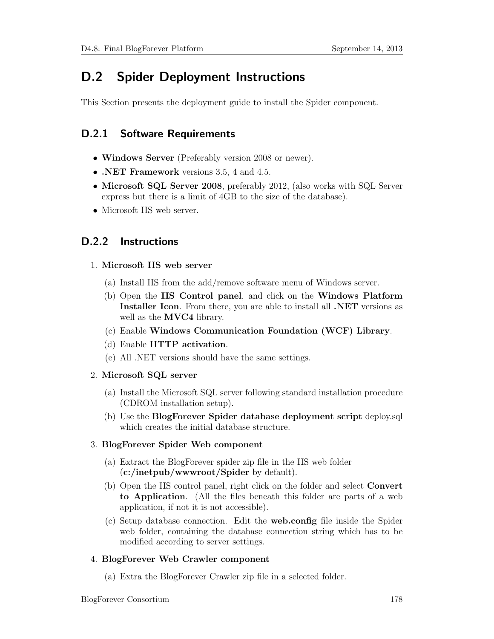# D.2 Spider Deployment Instructions

This Section presents the deployment guide to install the Spider component.

# D.2.1 Software Requirements

- Windows Server (Preferably version 2008 or newer).
- .NET Framework versions 3.5, 4 and 4.5.
- Microsoft SQL Server 2008, preferably 2012, (also works with SQL Server express but there is a limit of 4GB to the size of the database).
- Microsoft IIS web server.

## D.2.2 Instructions

#### 1. Microsoft IIS web server

- (a) Install IIS from the add/remove software menu of Windows server.
- (b) Open the IIS Control panel, and click on the Windows Platform Installer Icon. From there, you are able to install all .NET versions as well as the **MVC4** library.
- (c) Enable Windows Communication Foundation (WCF) Library.
- (d) Enable HTTP activation.
- (e) All .NET versions should have the same settings.
- 2. Microsoft SQL server
	- (a) Install the Microsoft SQL server following standard installation procedure (CDROM installation setup).
	- (b) Use the BlogForever Spider database deployment script deploy.sql which creates the initial database structure.

## 3. BlogForever Spider Web component

- (a) Extract the BlogForever spider zip file in the IIS web folder (c:/inetpub/wwwroot/Spider by default).
- (b) Open the IIS control panel, right click on the folder and select Convert to Application. (All the files beneath this folder are parts of a web application, if not it is not accessible).
- (c) Setup database connection. Edit the web.config file inside the Spider web folder, containing the database connection string which has to be modified according to server settings.

## 4. BlogForever Web Crawler component

(a) Extra the BlogForever Crawler zip file in a selected folder.